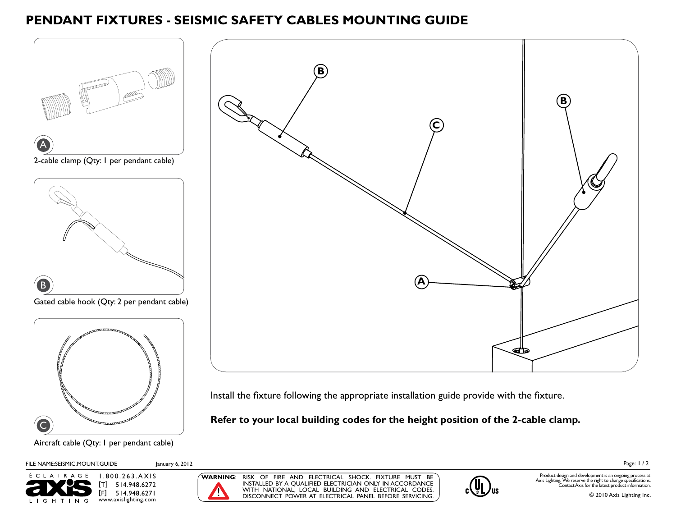## **PENDANT FIXTURES - SEISMIC SAFETY CABLES MOUNTING GUIDE**



Install the fixture following the appropriate installation guide provide with the fixture.

**Refer to your local building codes for the height position of the 2-cable clamp.**

Aircraft cable (Qty: 1 per pendant cable)



 $\overline{\mathsf{C}}$ 









Page: 1 / 2